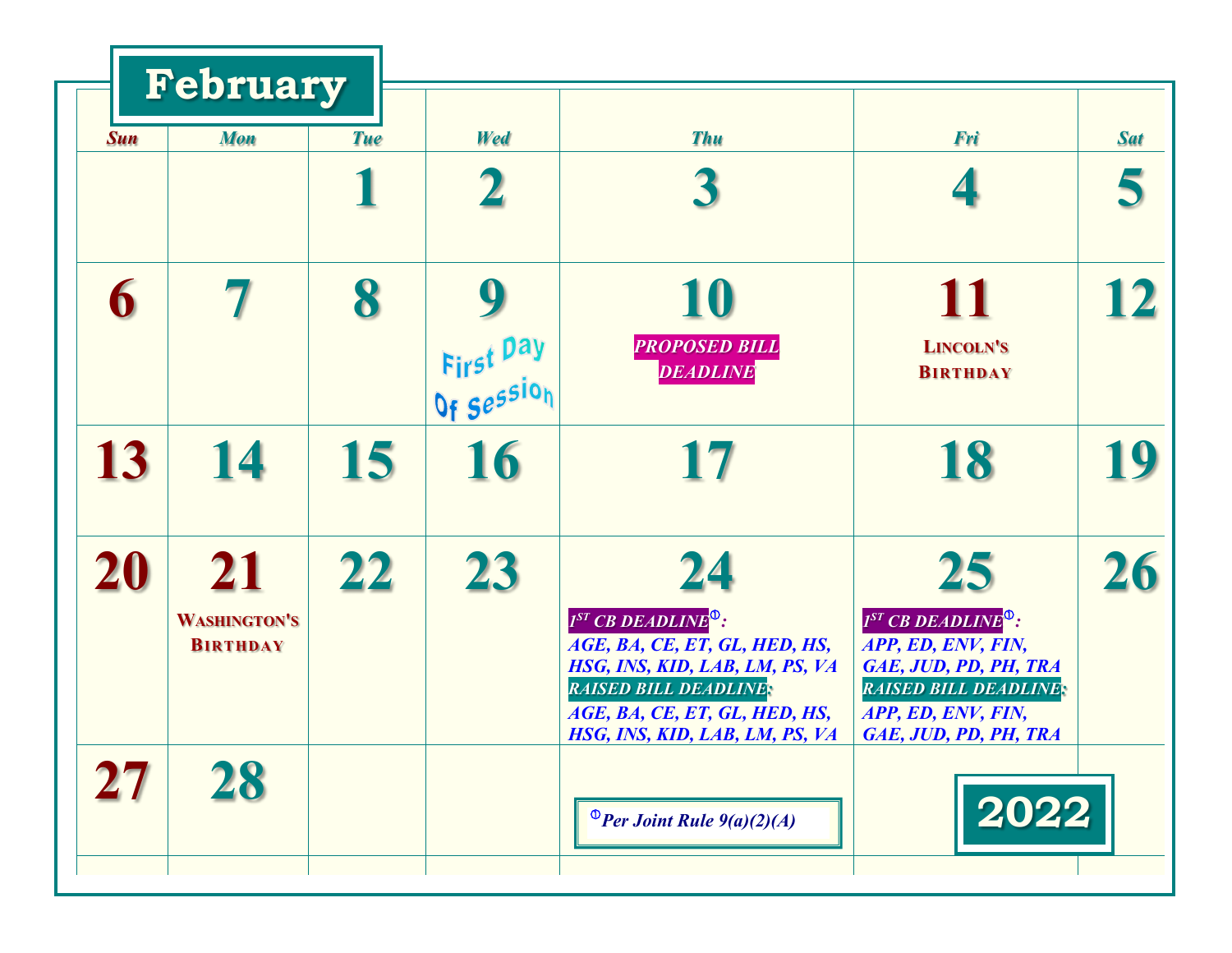|            | February                               |            |                         |                                                                                                                                                                                                           |                                                                                                                                                                   |            |
|------------|----------------------------------------|------------|-------------------------|-----------------------------------------------------------------------------------------------------------------------------------------------------------------------------------------------------------|-------------------------------------------------------------------------------------------------------------------------------------------------------------------|------------|
| <b>Sun</b> | <b>Mon</b>                             | <b>Tue</b> | Wed                     | <b>Thu</b>                                                                                                                                                                                                | Fri                                                                                                                                                               | <b>Sat</b> |
|            |                                        |            |                         |                                                                                                                                                                                                           |                                                                                                                                                                   | 5          |
| 6          |                                        | 8          |                         | 10<br><b>PROPOSED BILL</b>                                                                                                                                                                                | 11<br><b>LINCOLN'S</b>                                                                                                                                            | 12         |
|            |                                        |            | First Day<br>Of Session | DEADLINE                                                                                                                                                                                                  | <b>BIRTHDAY</b>                                                                                                                                                   |            |
| 13         | 14                                     | 15         | 16                      | 17                                                                                                                                                                                                        | 18                                                                                                                                                                | 19         |
| 20         | 21                                     | 22         | 23                      | 24                                                                                                                                                                                                        | 25                                                                                                                                                                | 26         |
|            | <b>WASHINGTON'S</b><br><b>BIRTHDAY</b> |            |                         | $I^{ST}$ CB DEADLINE <sup>0</sup> :<br>AGE, BA, CE, ET, GL, HED, HS,<br>HSG, INS, KID, LAB, LM, PS, VA<br><b>RAISED BILL DEADLINE:</b><br>AGE, BA, CE, ET, GL, HED, HS,<br>HSG, INS, KID, LAB, LM, PS, VA | $I^{ST}$ CB DEADLINE <sup>0</sup> :<br>APP, ED, ENV, FIN,<br>GAE, JUD, PD, PH, TRA<br><b>RAISED BILL DEADLINE:</b><br>APP, ED, ENV, FIN,<br>GAE, JUD, PD, PH, TRA |            |
|            |                                        |            |                         | <sup>O</sup> Per Joint Rule $9(a)(2)(A)$                                                                                                                                                                  | 2022                                                                                                                                                              |            |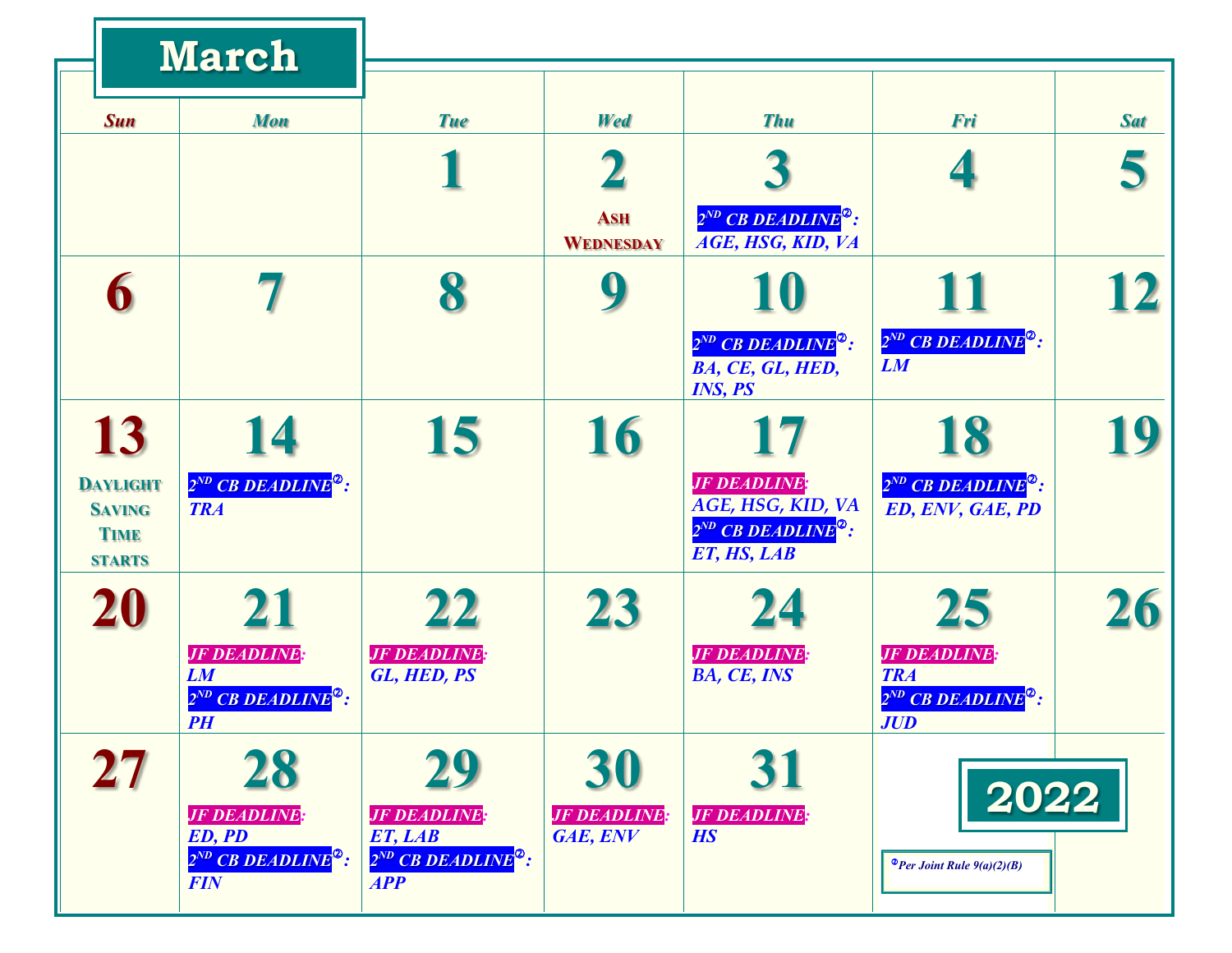|                                                                  | <b>March</b>                                                                                |                                                              |                                |                                                                                                |                                                                                               |            |
|------------------------------------------------------------------|---------------------------------------------------------------------------------------------|--------------------------------------------------------------|--------------------------------|------------------------------------------------------------------------------------------------|-----------------------------------------------------------------------------------------------|------------|
| <b>Sun</b>                                                       | <b>Mon</b>                                                                                  | <b>Tue</b>                                                   | Wed                            | <b>Thu</b>                                                                                     | Fri                                                                                           | <b>Sat</b> |
|                                                                  |                                                                                             |                                                              |                                |                                                                                                |                                                                                               |            |
|                                                                  |                                                                                             |                                                              | <b>ASH</b><br><b>WEDNESDAY</b> | $2^{ND}$ CB DEADLINE <sup>2</sup> :<br>AGE, HSG, KID, VA                                       |                                                                                               |            |
| 6                                                                |                                                                                             |                                                              | 9                              | 10                                                                                             | 11                                                                                            | 12         |
|                                                                  |                                                                                             |                                                              |                                | $2^{ND}$ CB DEADLINE <sup>2</sup> :<br>BA, CE, GL, HED,<br><b>INS, PS</b>                      | $2^{ND}$ CB DEADLINE <sup>2</sup> :<br>LM                                                     |            |
| 13                                                               | 14                                                                                          | 15                                                           | 16                             | 17                                                                                             | 18                                                                                            | 19         |
| <b>DAYLIGHT</b><br><b>SAVING</b><br><b>TIME</b><br><b>STARTS</b> | $2^{ND}$ CB DEADLINE <sup>®</sup> :<br><b>TRA</b>                                           |                                                              |                                | <b>JF DEADLINE:</b><br>AGE, HSG, KID, VA<br>$2^{ND}$ CB DEADLINE <sup>2</sup> :<br>ET, HS, LAB | $2^{ND}$ CB DEADLINE <sup>2</sup> :<br>ED, ENV, GAE, PD                                       |            |
| 20                                                               | 21                                                                                          | 22                                                           | 23                             | 24                                                                                             | 25                                                                                            | 26         |
|                                                                  | <b>JF DEADLINE:</b><br><b>LM</b><br>2 <sup>ND</sup> CB DEADLINE <sup>®</sup> :<br><b>PH</b> | <b>JF DEADLINE:</b><br>GL, HED, PS                           |                                | <b>JF DEADLINE:</b><br>BA, CE, INS                                                             | <b>JF DEADLINE:</b><br><b>TRA</b><br>2 <sup>ND</sup> CB DEADLINE <sup>®</sup> :<br><b>JUD</b> |            |
| $\bf 27$                                                         | 28<br><b>JF DEADLINE:</b>                                                                   | 29<br><b>JF DEADLINE</b>                                     | 30<br><b>JF DEADLINE</b>       | 31<br><b>JF DEADLINE:</b>                                                                      | 2022                                                                                          |            |
|                                                                  | ED, PD<br>2 <sup>ND</sup> CB DEADLINE <sup>2</sup> :<br><b>FIN</b>                          | ET, LAB<br>$2^{ND}$ CB DEADLINE <sup>2</sup> :<br><b>APP</b> | GAE, ENV                       | <b>HS</b>                                                                                      | $\bullet$ Per Joint Rule $9(a)(2)(B)$                                                         |            |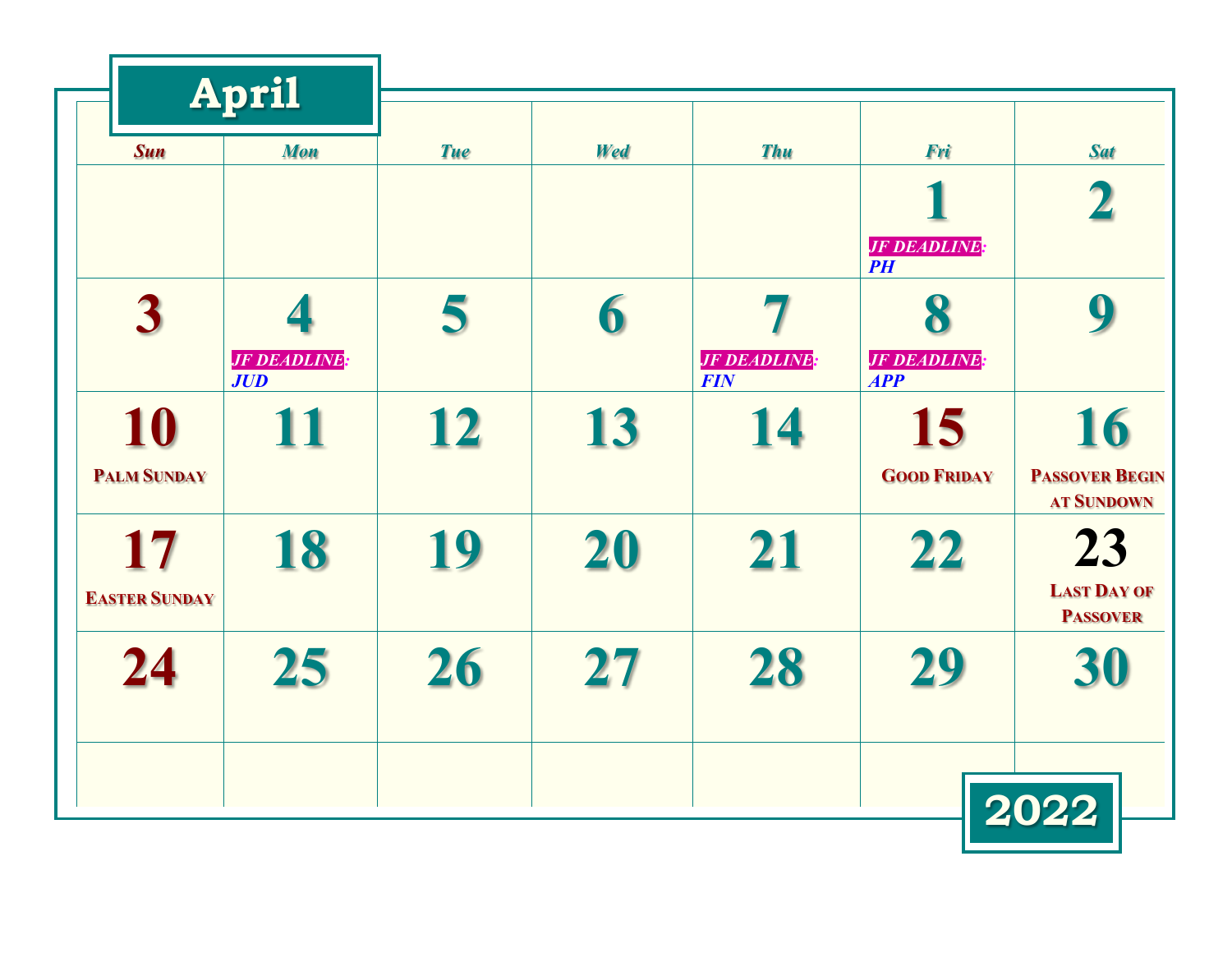| <b>Sun</b>                 | <b>Mon</b>                       | <b>Tue</b> |     |                                   |                                        |                                                  |
|----------------------------|----------------------------------|------------|-----|-----------------------------------|----------------------------------------|--------------------------------------------------|
|                            |                                  |            | Wed | <b>Thu</b>                        | Fri                                    | <b>Sat</b>                                       |
|                            |                                  |            |     |                                   | 1<br><b>JF DEADLINE:</b><br>P          |                                                  |
| $\overline{\mathbf{3}}$    | <b>JF DEADLINE</b><br><b>JUD</b> | 5          | 6   | <b>JF DEADLINE:</b><br><b>FIN</b> | 8<br><b>JF DEADLINE:</b><br><b>APP</b> | 9                                                |
| 10<br><b>PALM SUNDAY</b>   | <b>11</b>                        | <b>12</b>  | 13  | 14                                | 15<br><b>GOOD FRIDAY</b>               | 16<br><b>PASSOVER BEGIN</b><br><b>AT SUNDOWN</b> |
| 17<br><b>EASTER SUNDAY</b> | 18                               | 19         | 20  | 21                                | 22                                     | 23<br><b>LAST DAY OF</b><br><b>PASSOVER</b>      |
| 24                         | 25                               | 26         | 27  | 28                                | 29                                     | 30                                               |